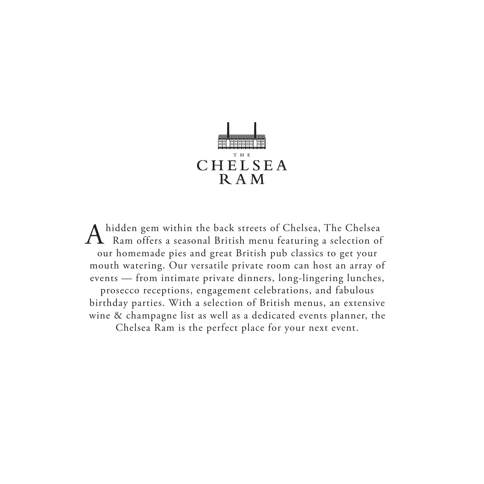

 $A$  hidden gem within the back streets of Chelsea, The Chelsea<br>Ram offers a seasonal British menu featuring a selection of our homemade pies and great British pub classics to get your mouth watering. Our versatile private room can host an array of events — from intimate private dinners, long-lingering lunches, prosecco receptions, engagement celebrations, and fabulous birthday parties. With a selection of British menus, an extensive wine & champagne list as well as a dedicated events planner, the Chelsea Ram is the perfect place for your next event.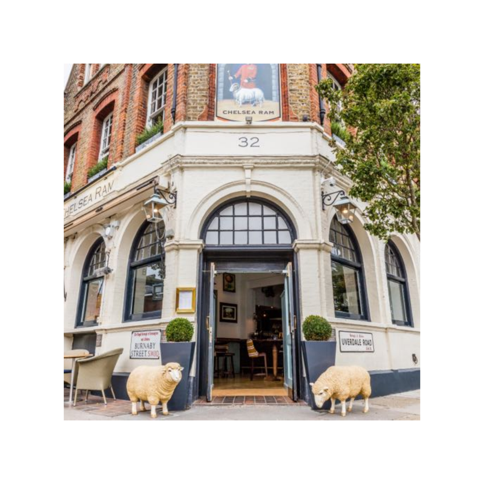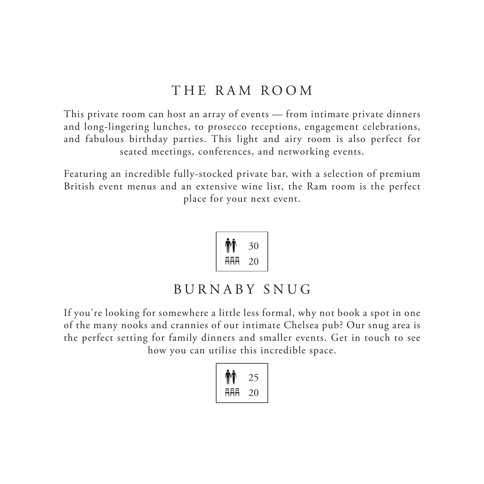## THE RAM ROOM

This private room can host an array of events — from intimate private dinners and long-lingering lunches, to prosecco receptions, engagement celebrations, and fabulous birthday parties. This light and airy room is also perfect for seated meetings, conferences, and networking events.

Featuring an incredible fully-stocked private bar, with a selection of premium British event menus and an extensive wine list, the Ram room is the perfect place for your next event.



## B U R N A B Y S N U G

If you're looking for somewhere a little less formal, why not book a spot in one of the many nooks and crannies of our intimate Chelsea pub? Our snug area is the perfect setting for family dinners and smaller events. Get in touch to see how you can utilise this incredible space.

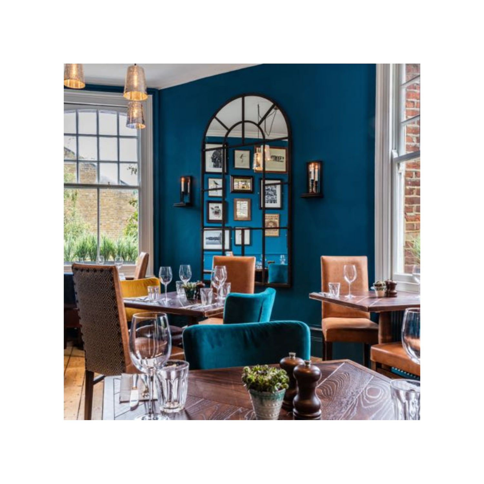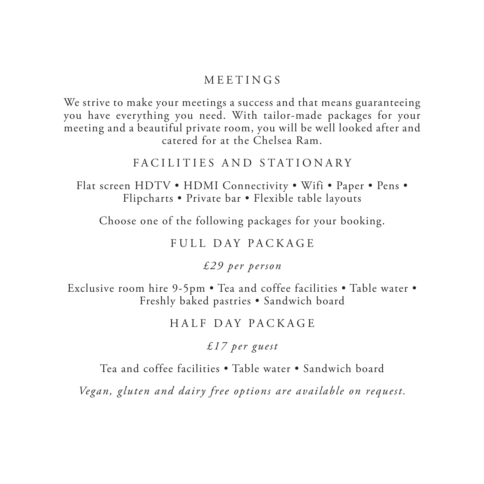### MEETINGS

We strive to make your meetings a success and that means guaranteeing you have everything you need. With tailor-made packages for your meeting and a beautiful private room, you will be well looked after and catered for at the Chelsea Ram.

## FACILITIES AND STATIONARY

Flat screen HDTV • HDMI Connectivity • Wifi • Paper • Pens • Flipcharts • Private bar • Flexible table layouts

Choose one of the following packages for your booking.

### FULL DAY PACKAGE

## *£29 per person*

Exclusive room hire 9-5pm • Tea and coffee facilities • Table water • Freshly baked pastries • Sandwich board

## HALF DAY PACKAGE

## *£17 per guest*

Tea and coffee facilities • Table water • Sandwich board

*Vegan, gluten and dairy free options are available on request.*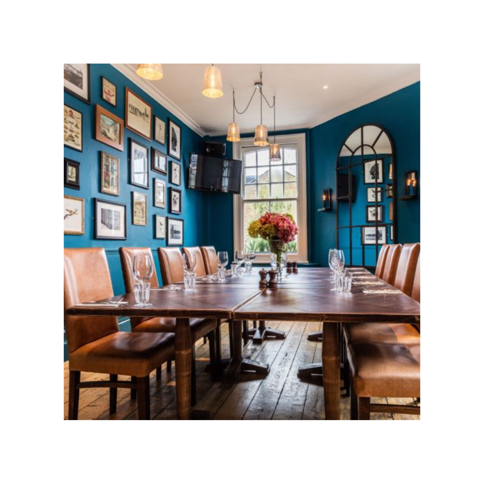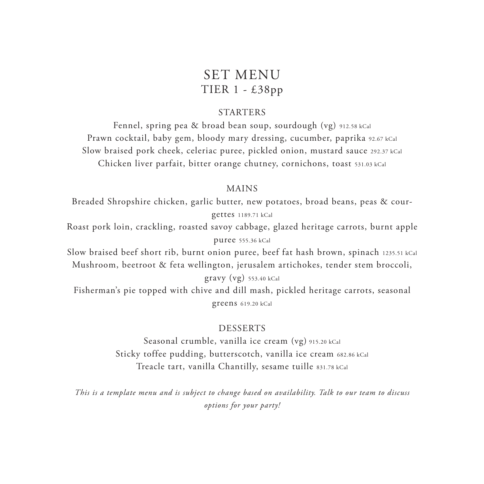## SET MENU TIER 1 - £38pp

#### **STARTERS**

Fennel, spring pea & broad bean soup, sourdough (vg) 912.58 kCal Prawn cocktail, baby gem, bloody mary dressing, cucumber, paprika 92.67 kCal Slow braised pork cheek, celeriac puree, pickled onion, mustard sauce 292.37 kCal Chicken liver parfait, bitter orange chutney, cornichons, toast 531.03 kCal

#### MAINS

Breaded Shropshire chicken, garlic butter, new potatoes, broad beans, peas & courgettes 1189.71 kCal

Roast pork loin, crackling, roasted savoy cabbage, glazed heritage carrots, burnt apple puree 555.36 kCal

Slow braised beef short rib, burnt onion puree, beef fat hash brown, spinach 1235.51 kCal Mushroom, beetroot & feta wellington, jerusalem artichokes, tender stem broccoli,

gravy (vg) 553.40 kCal

Fisherman's pie topped with chive and dill mash, pickled heritage carrots, seasonal greens 619.20 kCal

#### DESSERTS

Seasonal crumble, vanilla ice cream (vg) 915.20 kCal Sticky toffee pudding, butterscotch, vanilla ice cream 682.86 kCal Treacle tart, vanilla Chantilly, sesame tuille 831.78 kCal

*This is a template menu and is subject to change based on availability. Talk to our team to discuss options for your party!*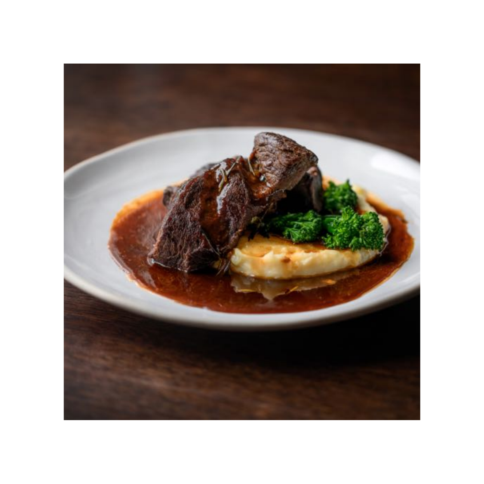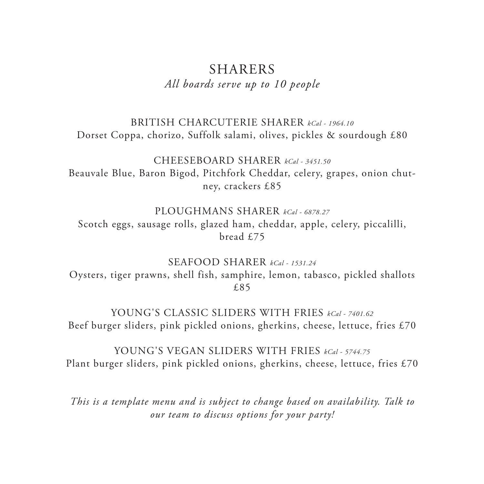## SHARERS *All boards serve up to 10 people*

BRITISH CHARCUTERIE SHARER *kCal - 1964.10* Dorset Coppa, chorizo, Suffolk salami, olives, pickles & sourdough £80

CHEESEBOARD SHARER *kCal - 3451.50* Beauvale Blue, Baron Bigod, Pitchfork Cheddar, celery, grapes, onion chutney, crackers £85

### PLOUGHMANS SHARER *kCal - 6878.27*

Scotch eggs, sausage rolls, glazed ham, cheddar, apple, celery, piccalilli, bread £75

### SEAFOOD SHARER *kCal - 1531.24*

Oysters, tiger prawns, shell fish, samphire, lemon, tabasco, pickled shallots £85

YOUNG'S CLASSIC SLIDERS WITH FRIES *kCal - 7401.62* Beef burger sliders, pink pickled onions, gherkins, cheese, lettuce, fries  $£70$ 

YOUNG'S VEGAN SLIDERS WITH FRIES *kCal - 5744.75* Plant burger sliders, pink pickled onions, gherkins, cheese, lettuce, fries £70

*This is a template menu and is subject to change based on availability. Talk to our team to discuss options for your party!*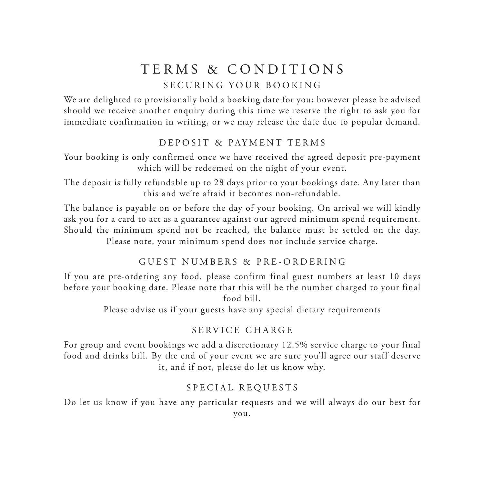## TERMS & CONDITIONS SECURING YOUR BOOKING

We are delighted to provisionally hold a booking date for you; however please be advised should we receive another enquiry during this time we reserve the right to ask you for immediate confirmation in writing, or we may release the date due to popular demand.

#### DEPOSIT & PAYMENT TERMS

Your booking is only confirmed once we have received the agreed deposit pre-payment which will be redeemed on the night of your event.

The deposit is fully refundable up to 28 days prior to your bookings date. Any later than this and we're afraid it becomes non-refundable.

The balance is payable on or before the day of your booking. On arrival we will kindly ask you for a card to act as a guarantee against our agreed minimum spend requirement. Should the minimum spend not be reached, the balance must be settled on the day. Please note, your minimum spend does not include service charge.

#### GUEST NUMBERS & PRE-ORDERING

If you are pre-ordering any food, please confirm final guest numbers at least 10 days before your booking date. Please note that this will be the number charged to your final

food bill.

Please advise us if your guests have any special dietary requirements

### SERVICE CHARGE

For group and event bookings we add a discretionary 12.5% service charge to your final food and drinks bill. By the end of your event we are sure you'll agree our staff deserve it, and if not, please do let us know why.

### SPECIAL REQUESTS

Do let us know if you have any particular requests and we will always do our best for you.